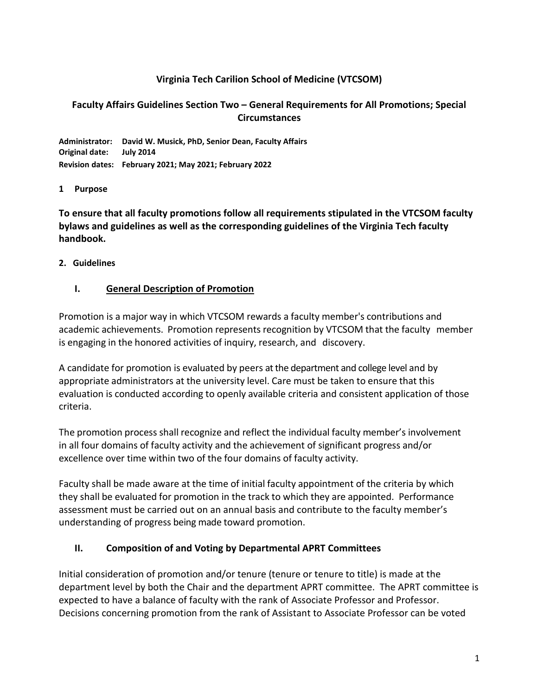### **Virginia Tech Carilion School of Medicine (VTCSOM)**

#### **Faculty Affairs Guidelines Section Two – General Requirements for All Promotions; Special Circumstances**

**Administrator: David W. Musick, PhD, Senior Dean, Faculty Affairs Original date: July 2014 Revision dates: February 2021; May 2021; February 2022**

#### **1 Purpose**

**To ensure that all faculty promotions follow all requirements stipulated in the VTCSOM faculty bylaws and guidelines as well as the corresponding guidelines of the Virginia Tech faculty handbook.**

#### **2. Guidelines**

#### **I. General Description of Promotion**

Promotion is a major way in which VTCSOM rewards a faculty member's contributions and academic achievements. Promotion represents recognition by VTCSOM that the faculty member is engaging in the honored activities of inquiry, research, and discovery.

A candidate for promotion is evaluated by peers at the department and college level and by appropriate administrators at the university level. Care must be taken to ensure that this evaluation is conducted according to openly available criteria and consistent application of those criteria.

The promotion process shall recognize and reflect the individual faculty member's involvement in all four domains of faculty activity and the achievement of significant progress and/or excellence over time within two of the four domains of faculty activity.

Faculty shall be made aware at the time of initial faculty appointment of the criteria by which they shall be evaluated for promotion in the track to which they are appointed. Performance assessment must be carried out on an annual basis and contribute to the faculty member's understanding of progress being made toward promotion.

## **II. Composition of and Voting by Departmental APRT Committees**

Initial consideration of promotion and/or tenure (tenure or tenure to title) is made at the department level by both the Chair and the department APRT committee. The APRT committee is expected to have a balance of faculty with the rank of Associate Professor and Professor. Decisions concerning promotion from the rank of Assistant to Associate Professor can be voted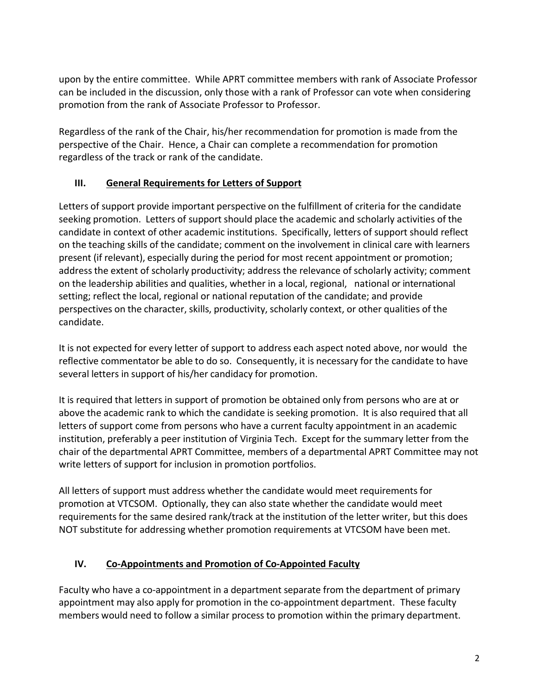upon by the entire committee. While APRT committee members with rank of Associate Professor can be included in the discussion, only those with a rank of Professor can vote when considering promotion from the rank of Associate Professor to Professor.

Regardless of the rank of the Chair, his/her recommendation for promotion is made from the perspective of the Chair. Hence, a Chair can complete a recommendation for promotion regardless of the track or rank of the candidate.

## **III. General Requirements for Letters of Support**

Letters of support provide important perspective on the fulfillment of criteria for the candidate seeking promotion. Letters of support should place the academic and scholarly activities of the candidate in context of other academic institutions. Specifically, letters of support should reflect on the teaching skills of the candidate; comment on the involvement in clinical care with learners present (if relevant), especially during the period for most recent appointment or promotion; address the extent of scholarly productivity; address the relevance of scholarly activity; comment on the leadership abilities and qualities, whether in a local, regional, national or international setting; reflect the local, regional or national reputation of the candidate; and provide perspectives on the character, skills, productivity, scholarly context, or other qualities of the candidate.

It is not expected for every letter of support to address each aspect noted above, nor would the reflective commentator be able to do so. Consequently, it is necessary for the candidate to have several letters in support of his/her candidacy for promotion.

It is required that letters in support of promotion be obtained only from persons who are at or above the academic rank to which the candidate is seeking promotion. It is also required that all letters of support come from persons who have a current faculty appointment in an academic institution, preferably a peer institution of Virginia Tech. Except for the summary letter from the chair of the departmental APRT Committee, members of a departmental APRT Committee may not write letters of support for inclusion in promotion portfolios.

All letters of support must address whether the candidate would meet requirements for promotion at VTCSOM. Optionally, they can also state whether the candidate would meet requirements for the same desired rank/track at the institution of the letter writer, but this does NOT substitute for addressing whether promotion requirements at VTCSOM have been met.

## **IV. Co-Appointments and Promotion of Co-Appointed Faculty**

Faculty who have a co-appointment in a department separate from the department of primary appointment may also apply for promotion in the co-appointment department. These faculty members would need to follow a similar process to promotion within the primary department.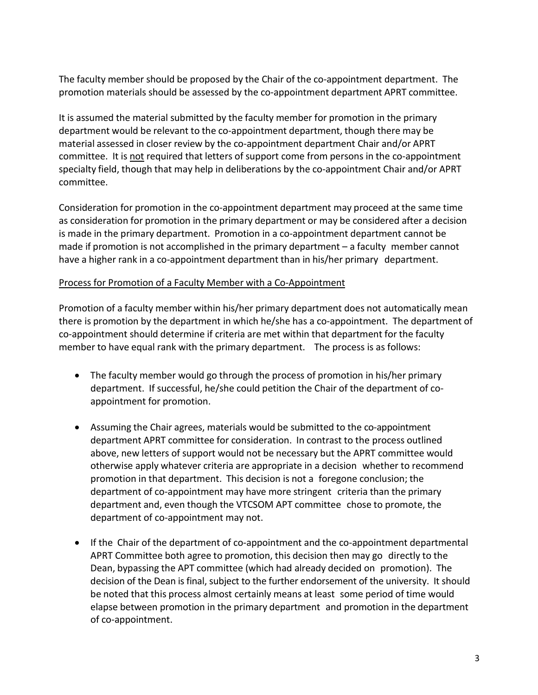The faculty member should be proposed by the Chair of the co-appointment department. The promotion materials should be assessed by the co-appointment department APRT committee.

It is assumed the material submitted by the faculty member for promotion in the primary department would be relevant to the co-appointment department, though there may be material assessed in closer review by the co-appointment department Chair and/or APRT committee. It is not required that letters of support come from persons in the co-appointment specialty field, though that may help in deliberations by the co-appointment Chair and/or APRT committee.

Consideration for promotion in the co-appointment department may proceed at the same time as consideration for promotion in the primary department or may be considered after a decision is made in the primary department. Promotion in a co-appointment department cannot be made if promotion is not accomplished in the primary department – a faculty member cannot have a higher rank in a co-appointment department than in his/her primary department.

#### Process for Promotion of a Faculty Member with a Co-Appointment

Promotion of a faculty member within his/her primary department does not automatically mean there is promotion by the department in which he/she has a co-appointment. The department of co-appointment should determine if criteria are met within that department for the faculty member to have equal rank with the primary department. The process is as follows:

- The faculty member would go through the process of promotion in his/her primary department. If successful, he/she could petition the Chair of the department of coappointment for promotion.
- Assuming the Chair agrees, materials would be submitted to the co-appointment department APRT committee for consideration. In contrast to the process outlined above, new letters of support would not be necessary but the APRT committee would otherwise apply whatever criteria are appropriate in a decision whether to recommend promotion in that department. This decision is not a foregone conclusion; the department of co-appointment may have more stringent criteria than the primary department and, even though the VTCSOM APT committee chose to promote, the department of co-appointment may not.
- If the Chair of the department of co-appointment and the co-appointment departmental APRT Committee both agree to promotion, this decision then may go directly to the Dean, bypassing the APT committee (which had already decided on promotion). The decision of the Dean is final, subject to the further endorsement of the university. It should be noted that this process almost certainly means at least some period of time would elapse between promotion in the primary department and promotion in the department of co-appointment.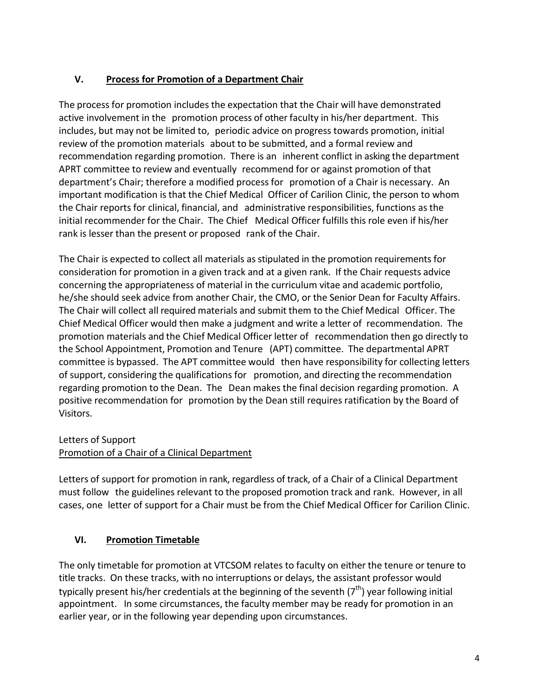## **V. Process for Promotion of a Department Chair**

The process for promotion includes the expectation that the Chair will have demonstrated active involvement in the promotion process of other faculty in his/her department. This includes, but may not be limited to, periodic advice on progress towards promotion, initial review of the promotion materials about to be submitted, and a formal review and recommendation regarding promotion. There is an inherent conflict in asking the department APRT committee to review and eventually recommend for or against promotion of that department's Chair; therefore a modified processfor promotion of a Chair is necessary. An important modification is that the Chief Medical Officer of Carilion Clinic, the person to whom the Chair reports for clinical, financial, and administrative responsibilities, functions as the initial recommender for the Chair. The Chief Medical Officer fulfills this role even if his/her rank is lesser than the present or proposed rank of the Chair.

The Chair is expected to collect all materials as stipulated in the promotion requirements for consideration for promotion in a given track and at a given rank. If the Chair requests advice concerning the appropriateness of material in the curriculum vitae and academic portfolio, he/she should seek advice from another Chair, the CMO, or the Senior Dean for Faculty Affairs. The Chair will collect all required materials and submit them to the Chief Medical Officer. The Chief Medical Officer would then make a judgment and write a letter of recommendation. The promotion materials and the Chief Medical Officer letter of recommendation then go directly to the School Appointment, Promotion and Tenure (APT) committee. The departmental APRT committee is bypassed. The APT committee would then have responsibility for collecting letters of support, considering the qualifications for promotion, and directing the recommendation regarding promotion to the Dean. The Dean makes the final decision regarding promotion. A positive recommendation for promotion by the Dean still requires ratification by the Board of Visitors.

#### Letters of Support

## Promotion of a Chair of a Clinical Department

Letters of support for promotion in rank, regardless of track, of a Chair of a Clinical Department must follow the guidelines relevant to the proposed promotion track and rank. However, in all cases, one letter of support for a Chair must be from the Chief Medical Officer for Carilion Clinic.

## **VI. Promotion Timetable**

The only timetable for promotion at VTCSOM relates to faculty on either the tenure or tenure to title tracks. On these tracks, with no interruptions or delays, the assistant professor would typically present his/her credentials at the beginning of the seventh  $(7<sup>th</sup>)$  year following initial appointment. In some circumstances, the faculty member may be ready for promotion in an earlier year, or in the following year depending upon circumstances.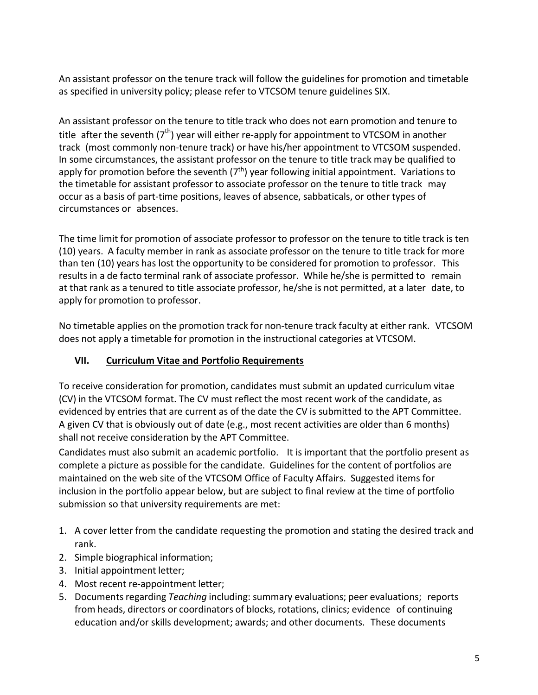An assistant professor on the tenure track will follow the guidelines for promotion and timetable as specified in university policy; please refer to VTCSOM tenure guidelines SIX.

An assistant professor on the tenure to title track who does not earn promotion and tenure to title after the seventh  $(7<sup>th</sup>)$  year will either re-apply for appointment to VTCSOM in another track (most commonly non-tenure track) or have his/her appointment to VTCSOM suspended. In some circumstances, the assistant professor on the tenure to title track may be qualified to apply for promotion before the seventh  $(7<sup>th</sup>)$  year following initial appointment. Variations to the timetable for assistant professor to associate professor on the tenure to title track may occur as a basis of part-time positions, leaves of absence, sabbaticals, or other types of circumstances or absences.

The time limit for promotion of associate professor to professor on the tenure to title track is ten (10) years. A faculty member in rank as associate professor on the tenure to title track for more than ten (10) years has lost the opportunity to be considered for promotion to professor. This results in a de facto terminal rank of associate professor. While he/she is permitted to remain at that rank as a tenured to title associate professor, he/she is not permitted, at a later date, to apply for promotion to professor.

No timetable applies on the promotion track for non-tenure track faculty at either rank. VTCSOM does not apply a timetable for promotion in the instructional categories at VTCSOM.

## **VII. Curriculum Vitae and Portfolio Requirements**

To receive consideration for promotion, candidates must submit an updated curriculum vitae (CV) in the VTCSOM format. The CV must reflect the most recent work of the candidate, as evidenced by entries that are current as of the date the CV is submitted to the APT Committee. A given CV that is obviously out of date (e.g., most recent activities are older than 6 months) shall not receive consideration by the APT Committee.

Candidates must also submit an academic portfolio. It is important that the portfolio present as complete a picture as possible for the candidate. Guidelines for the content of portfolios are maintained on the web site of the VTCSOM Office of Faculty Affairs. Suggested items for inclusion in the portfolio appear below, but are subject to final review at the time of portfolio submission so that university requirements are met:

- 1. A cover letter from the candidate requesting the promotion and stating the desired track and rank.
- 2. Simple biographical information;
- 3. Initial appointment letter;
- 4. Most recent re-appointment letter;
- 5. Documentsregarding *Teaching* including: summary evaluations; peer evaluations; reports from heads, directors or coordinators of blocks, rotations, clinics; evidence of continuing education and/or skills development; awards; and other documents. These documents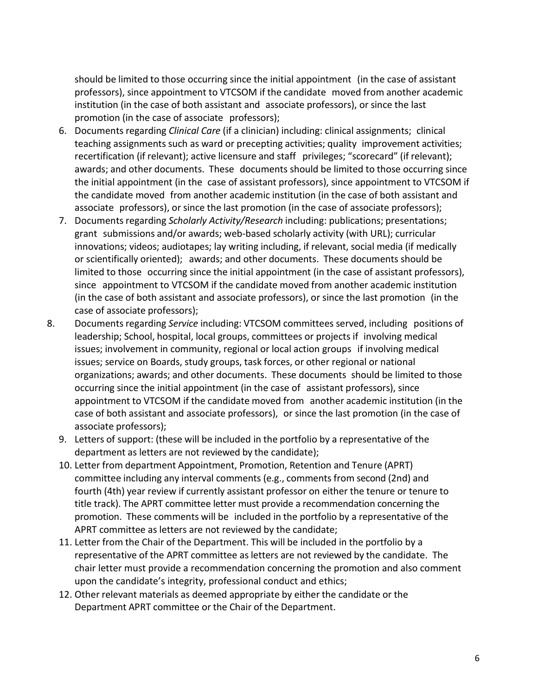should be limited to those occurring since the initial appointment (in the case of assistant professors), since appointment to VTCSOM if the candidate moved from another academic institution (in the case of both assistant and associate professors), or since the last promotion (in the case of associate professors);

- 6. Documents regarding *Clinical Care* (if a clinician) including: clinical assignments; clinical teaching assignments such as ward or precepting activities; quality improvement activities; recertification (if relevant); active licensure and staff privileges; "scorecard" (if relevant); awards; and other documents. These documents should be limited to those occurring since the initial appointment (in the case of assistant professors), since appointment to VTCSOM if the candidate moved from another academic institution (in the case of both assistant and associate professors), or since the last promotion (in the case of associate professors);
- 7. Documents regarding *Scholarly Activity/Research* including: publications; presentations; grant submissions and/or awards; web-based scholarly activity (with URL); curricular innovations; videos; audiotapes; lay writing including, if relevant, social media (if medically or scientifically oriented); awards; and other documents. These documents should be limited to those occurring since the initial appointment (in the case of assistant professors), since appointment to VTCSOM if the candidate moved from another academic institution (in the case of both assistant and associate professors), or since the last promotion (in the case of associate professors);
- 8. Documentsregarding *Service* including: VTCSOM committees served, including positions of leadership; School, hospital, local groups, committees or projects if involving medical issues; involvement in community, regional or local action groups if involving medical issues; service on Boards, study groups, task forces, or other regional or national organizations; awards; and other documents. These documents should be limited to those occurring since the initial appointment (in the case of assistant professors), since appointment to VTCSOM if the candidate moved from another academic institution (in the case of both assistant and associate professors), or since the last promotion (in the case of associate professors);
	- 9. Letters of support: (these will be included in the portfolio by a representative of the department as letters are not reviewed by the candidate);
	- 10. Letter from department Appointment, Promotion, Retention and Tenure (APRT) committee including any interval comments (e.g., comments from second (2nd) and fourth (4th) year review if currently assistant professor on either the tenure or tenure to title track). The APRT committee letter must provide a recommendation concerning the promotion. These comments will be included in the portfolio by a representative of the APRT committee as letters are not reviewed by the candidate;
	- 11. Letter from the Chair of the Department. This will be included in the portfolio by a representative of the APRT committee as letters are not reviewed by the candidate. The chair letter must provide a recommendation concerning the promotion and also comment upon the candidate's integrity, professional conduct and ethics;
	- 12. Other relevant materials as deemed appropriate by either the candidate or the Department APRT committee or the Chair of the Department.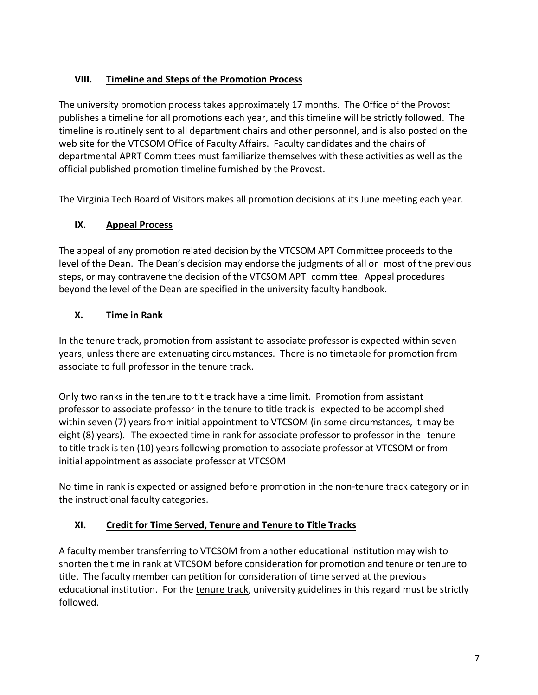## **VIII. Timeline and Steps of the Promotion Process**

The university promotion process takes approximately 17 months. The Office of the Provost publishes a timeline for all promotions each year, and this timeline will be strictly followed. The timeline is routinely sent to all department chairs and other personnel, and is also posted on the web site for the VTCSOM Office of Faculty Affairs. Faculty candidates and the chairs of departmental APRT Committees must familiarize themselves with these activities as well as the official published promotion timeline furnished by the Provost.

The Virginia Tech Board of Visitors makes all promotion decisions at its June meeting each year.

# **IX. Appeal Process**

The appeal of any promotion related decision by the VTCSOM APT Committee proceeds to the level of the Dean. The Dean's decision may endorse the judgments of all or most of the previous steps, or may contravene the decision of the VTCSOM APT committee. Appeal procedures beyond the level of the Dean are specified in the university faculty handbook.

# **X. Time in Rank**

In the tenure track, promotion from assistant to associate professor is expected within seven years, unless there are extenuating circumstances. There is no timetable for promotion from associate to full professor in the tenure track.

Only two ranks in the tenure to title track have a time limit. Promotion from assistant professor to associate professor in the tenure to title track is expected to be accomplished within seven (7) years from initial appointment to VTCSOM (in some circumstances, it may be eight (8) years). The expected time in rank for associate professor to professor in the tenure to title track is ten (10) years following promotion to associate professor at VTCSOM or from initial appointment as associate professor at VTCSOM

No time in rank is expected or assigned before promotion in the non-tenure track category or in the instructional faculty categories.

## **XI. Credit for Time Served, Tenure and Tenure to Title Tracks**

A faculty member transferring to VTCSOM from another educational institution may wish to shorten the time in rank at VTCSOM before consideration for promotion and tenure or tenure to title. The faculty member can petition for consideration of time served at the previous educational institution. For the tenure track, university guidelines in this regard must be strictly followed.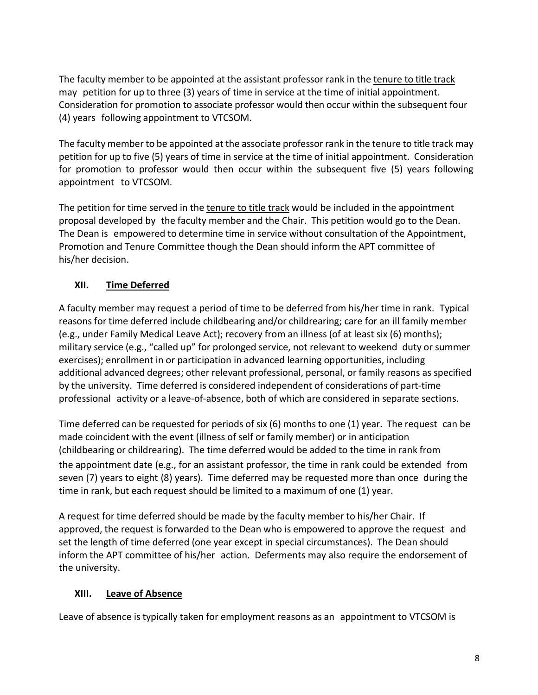The faculty member to be appointed at the assistant professor rank in the tenure to title track may petition for up to three (3) years of time in service at the time of initial appointment. Consideration for promotion to associate professor would then occur within the subsequent four (4) years following appointment to VTCSOM.

The faculty member to be appointed at the associate professor rank in the tenure to title track may petition for up to five (5) years of time in service at the time of initial appointment. Consideration for promotion to professor would then occur within the subsequent five (5) years following appointment to VTCSOM.

The petition for time served in the tenure to title track would be included in the appointment proposal developed by the faculty member and the Chair. This petition would go to the Dean. The Dean is empowered to determine time in service without consultation of the Appointment, Promotion and Tenure Committee though the Dean should inform the APT committee of his/her decision.

## **XII. Time Deferred**

A faculty member may request a period of time to be deferred from his/her time in rank. Typical reasons for time deferred include childbearing and/or childrearing; care for an ill family member (e.g., under Family Medical Leave Act); recovery from an illness (of at least six (6) months); military service (e.g., "called up" for prolonged service, not relevant to weekend duty or summer exercises); enrollment in or participation in advanced learning opportunities, including additional advanced degrees; other relevant professional, personal, or family reasons as specified by the university. Time deferred is considered independent of considerations of part-time professional activity or a leave-of-absence, both of which are considered in separate sections.

Time deferred can be requested for periods of six (6) months to one (1) year. The request can be made coincident with the event (illness of self or family member) or in anticipation (childbearing or childrearing). The time deferred would be added to the time in rank from the appointment date (e.g., for an assistant professor, the time in rank could be extended from seven (7) years to eight (8) years). Time deferred may be requested more than once during the time in rank, but each request should be limited to a maximum of one (1) year.

A request for time deferred should be made by the faculty member to his/her Chair. If approved, the request isforwarded to the Dean who is empowered to approve the request and set the length of time deferred (one year except in special circumstances). The Dean should inform the APT committee of his/her action. Deferments may also require the endorsement of the university.

## **XIII. Leave of Absence**

Leave of absence is typically taken for employment reasons as an appointment to VTCSOM is